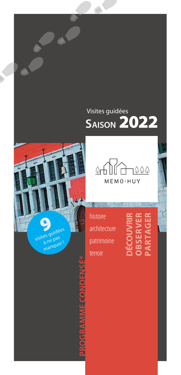## Visites guidées **SAISON** 2022



## **PROGRAMME CONDENSÉ\*PROGRAMME CONDE**



histoire architecture patrimoine histoire<br>architecture<br>patrimoine<br>terroir

## **OBSERVER PARTAGER OBSEI RNA**